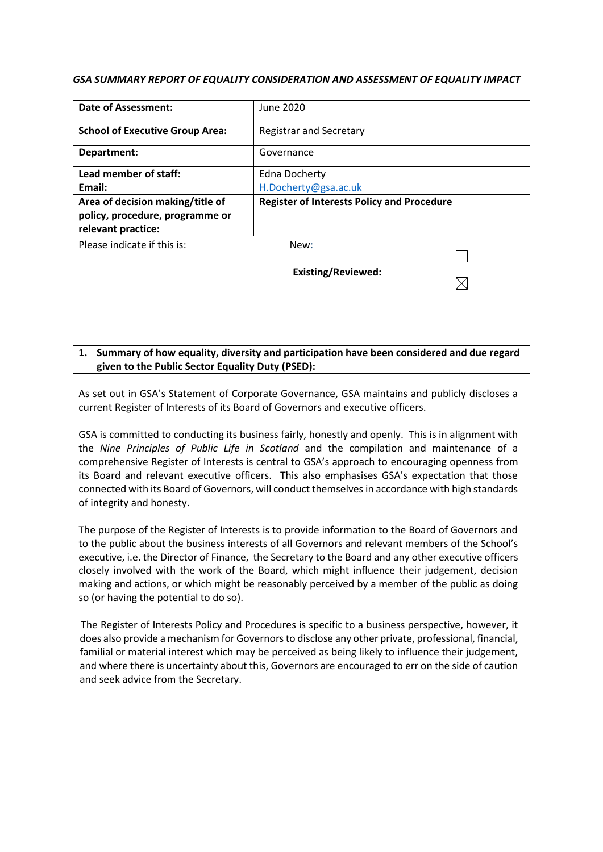### *GSA SUMMARY REPORT OF EQUALITY CONSIDERATION AND ASSESSMENT OF EQUALITY IMPACT*

| Date of Assessment:                                                                   | June 2020                      |  |
|---------------------------------------------------------------------------------------|--------------------------------|--|
| <b>School of Executive Group Area:</b>                                                | <b>Registrar and Secretary</b> |  |
| Department:                                                                           | Governance                     |  |
| Lead member of staff:                                                                 | <b>Edna Docherty</b>           |  |
| Email:                                                                                | H.Docherty@gsa.ac.uk           |  |
| <b>Register of Interests Policy and Procedure</b><br>Area of decision making/title of |                                |  |
| policy, procedure, programme or                                                       |                                |  |
| relevant practice:                                                                    |                                |  |
| Please indicate if this is:                                                           | New:                           |  |
|                                                                                       |                                |  |
|                                                                                       | <b>Existing/Reviewed:</b>      |  |
|                                                                                       |                                |  |
|                                                                                       |                                |  |
|                                                                                       |                                |  |

## **1. Summary of how equality, diversity and participation have been considered and due regard given to the Public Sector Equality Duty (PSED):**

As set out in GSA's Statement of Corporate Governance, GSA maintains and publicly discloses a current Register of Interests of its Board of Governors and executive officers.

GSA is committed to conducting its business fairly, honestly and openly. This is in alignment with the *Nine Principles of Public Life in Scotland* and the compilation and maintenance of a comprehensive Register of Interests is central to GSA's approach to encouraging openness from its Board and relevant executive officers. This also emphasises GSA's expectation that those connected with its Board of Governors, will conduct themselves in accordance with high standards of integrity and honesty.

The purpose of the Register of Interests is to provide information to the Board of Governors and to the public about the business interests of all Governors and relevant members of the School's executive, i.e. the Director of Finance, the Secretary to the Board and any other executive officers closely involved with the work of the Board, which might influence their judgement, decision making and actions, or which might be reasonably perceived by a member of the public as doing so (or having the potential to do so).

The Register of Interests Policy and Procedures is specific to a business perspective, however, it does also provide a mechanism for Governors to disclose any other private, professional, financial, familial or material interest which may be perceived as being likely to influence their judgement, and where there is uncertainty about this, Governors are encouraged to err on the side of caution and seek advice from the Secretary.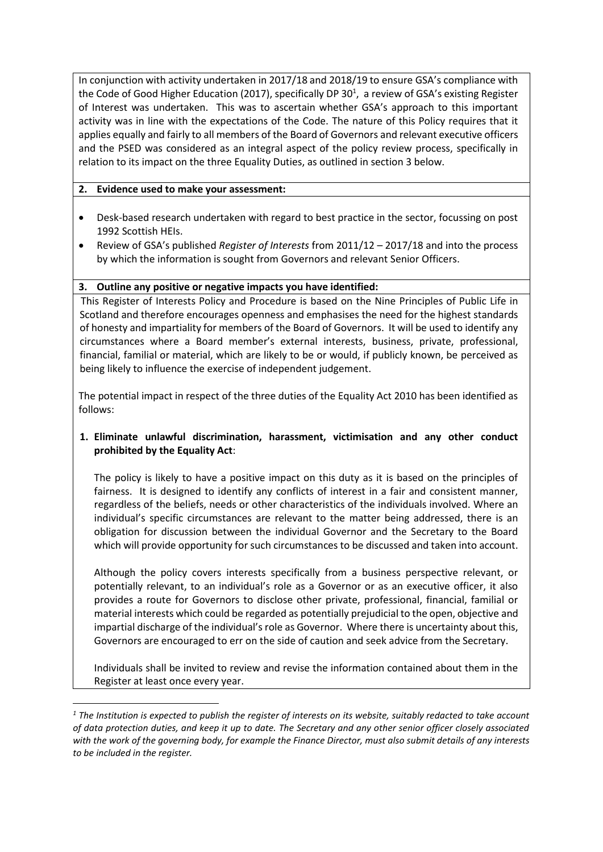In conjunction with activity undertaken in 2017/18 and 2018/19 to ensure GSA's compliance with the Code of Good Higher Education (2017), specifically DP 30<sup>1</sup>, a review of GSA's existing Register of Interest was undertaken. This was to ascertain whether GSA's approach to this important activity was in line with the expectations of the Code. The nature of this Policy requires that it applies equally and fairly to all members of the Board of Governors and relevant executive officers and the PSED was considered as an integral aspect of the policy review process, specifically in relation to its impact on the three Equality Duties, as outlined in section 3 below.

## **2. Evidence used to make your assessment:**

1

- Desk-based research undertaken with regard to best practice in the sector, focussing on post 1992 Scottish HEIs.
- Review of GSA's published *Register of Interests* from 2011/12 2017/18 and into the process by which the information is sought from Governors and relevant Senior Officers.

# **3. Outline any positive or negative impacts you have identified:**

This Register of Interests Policy and Procedure is based on the Nine Principles of Public Life in Scotland and therefore encourages openness and emphasises the need for the highest standards of honesty and impartiality for members of the Board of Governors. It will be used to identify any circumstances where a Board member's external interests, business, private, professional, financial, familial or material, which are likely to be or would, if publicly known, be perceived as being likely to influence the exercise of independent judgement.

The potential impact in respect of the three duties of the Equality Act 2010 has been identified as follows:

# **1. Eliminate unlawful discrimination, harassment, victimisation and any other conduct prohibited by the Equality Act**:

The policy is likely to have a positive impact on this duty as it is based on the principles of fairness. It is designed to identify any conflicts of interest in a fair and consistent manner, regardless of the beliefs, needs or other characteristics of the individuals involved. Where an individual's specific circumstances are relevant to the matter being addressed, there is an obligation for discussion between the individual Governor and the Secretary to the Board which will provide opportunity for such circumstances to be discussed and taken into account.

Although the policy covers interests specifically from a business perspective relevant, or potentially relevant, to an individual's role as a Governor or as an executive officer, it also provides a route for Governors to disclose other private, professional, financial, familial or material interests which could be regarded as potentially prejudicial to the open, objective and impartial discharge of the individual's role as Governor. Where there is uncertainty about this, Governors are encouraged to err on the side of caution and seek advice from the Secretary.

Individuals shall be invited to review and revise the information contained about them in the Register at least once every year.

*<sup>1</sup> The Institution is expected to publish the register of interests on its website, suitably redacted to take account of data protection duties, and keep it up to date. The Secretary and any other senior officer closely associated with the work of the governing body, for example the Finance Director, must also submit details of any interests to be included in the register.*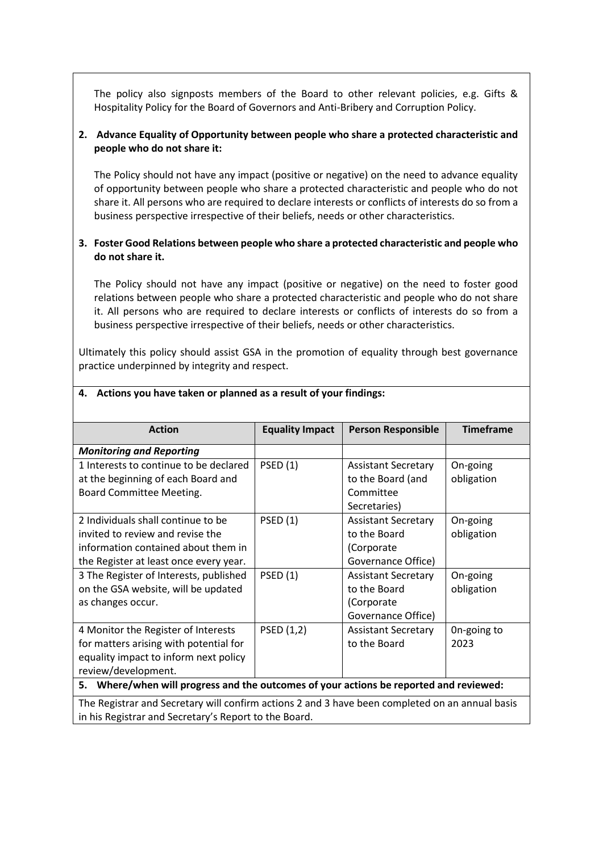The policy also signposts members of the Board to other relevant policies, e.g. Gifts & Hospitality Policy for the Board of Governors and Anti-Bribery and Corruption Policy.

# **2. Advance Equality of Opportunity between people who share a protected characteristic and people who do not share it:**

The Policy should not have any impact (positive or negative) on the need to advance equality of opportunity between people who share a protected characteristic and people who do not share it. All persons who are required to declare interests or conflicts of interests do so from a business perspective irrespective of their beliefs, needs or other characteristics.

# **3. Foster Good Relations between people who share a protected characteristic and people who do not share it.**

The Policy should not have any impact (positive or negative) on the need to foster good relations between people who share a protected characteristic and people who do not share it. All persons who are required to declare interests or conflicts of interests do so from a business perspective irrespective of their beliefs, needs or other characteristics.

Ultimately this policy should assist GSA in the promotion of equality through best governance practice underpinned by integrity and respect.

| <b>Action</b>                                                                                   | <b>Equality Impact</b> | <b>Person Responsible</b>  | <b>Timeframe</b> |
|-------------------------------------------------------------------------------------------------|------------------------|----------------------------|------------------|
| <b>Monitoring and Reporting</b>                                                                 |                        |                            |                  |
| 1 Interests to continue to be declared                                                          | <b>PSED</b> (1)        | <b>Assistant Secretary</b> | On-going         |
| at the beginning of each Board and                                                              |                        | to the Board (and          | obligation       |
| Board Committee Meeting.                                                                        |                        | Committee                  |                  |
|                                                                                                 |                        | Secretaries)               |                  |
| 2 Individuals shall continue to be                                                              | <b>PSED</b> (1)        | <b>Assistant Secretary</b> | On-going         |
| invited to review and revise the                                                                |                        | to the Board               | obligation       |
| information contained about them in                                                             |                        | (Corporate                 |                  |
| the Register at least once every year.                                                          |                        | Governance Office)         |                  |
| 3 The Register of Interests, published                                                          | <b>PSED (1)</b>        | <b>Assistant Secretary</b> | On-going         |
| on the GSA website, will be updated                                                             |                        | to the Board               | obligation       |
| as changes occur.                                                                               |                        | (Corporate                 |                  |
|                                                                                                 |                        | Governance Office)         |                  |
| 4 Monitor the Register of Interests                                                             | PSED (1,2)             | <b>Assistant Secretary</b> | On-going to      |
| for matters arising with potential for                                                          |                        | to the Board               | 2023             |
| equality impact to inform next policy                                                           |                        |                            |                  |
| review/development.                                                                             |                        |                            |                  |
| Where/when will progress and the outcomes of your actions be reported and reviewed:<br>5.       |                        |                            |                  |
| The Registrar and Secretary will confirm actions 2 and 3 have been completed on an annual basis |                        |                            |                  |

#### **4. Actions you have taken or planned as a result of your findings:**

The Registrar and Secretary will confirm actions 2 and 3 have been completed on an annual basis in his Registrar and Secretary's Report to the Board.